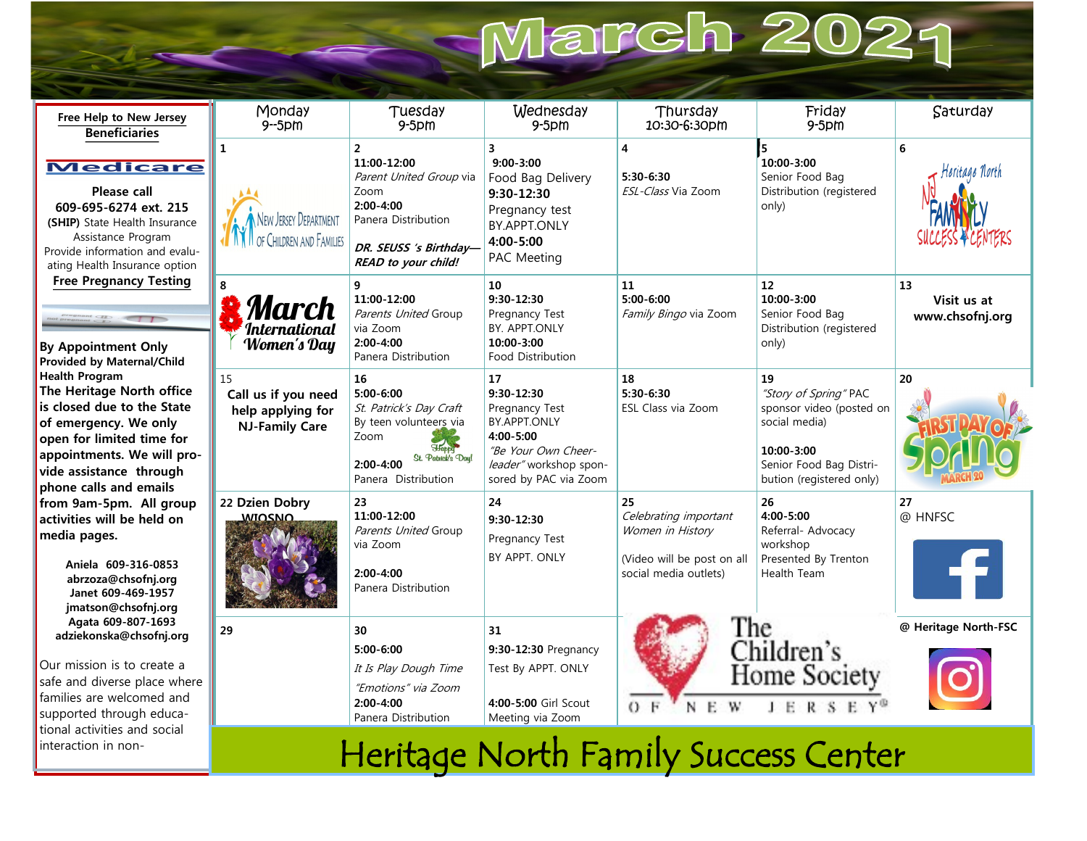# March 2021

| Free Help to New Jersey<br><b>Beneficiaries</b>                                                                                                                                                                                                                                                                                                                                                                                                                                                                                                                                                                                                                                                                                                                                                                                                                                                                 | Monday<br>$9 - 5$ pm                                                    | Tuesday<br>$9-5$ pm                                                                                                                                       | Wednesday<br>$9-5$ pm                                                                                                                              | Thursday<br>10:30-6:30pm                                                                               | Friday<br>$9-5$ pm                                                                                                                            | Saturday                             |
|-----------------------------------------------------------------------------------------------------------------------------------------------------------------------------------------------------------------------------------------------------------------------------------------------------------------------------------------------------------------------------------------------------------------------------------------------------------------------------------------------------------------------------------------------------------------------------------------------------------------------------------------------------------------------------------------------------------------------------------------------------------------------------------------------------------------------------------------------------------------------------------------------------------------|-------------------------------------------------------------------------|-----------------------------------------------------------------------------------------------------------------------------------------------------------|----------------------------------------------------------------------------------------------------------------------------------------------------|--------------------------------------------------------------------------------------------------------|-----------------------------------------------------------------------------------------------------------------------------------------------|--------------------------------------|
| <b>Medicare</b><br>Please call<br>609-695-6274 ext. 215<br>(SHIP) State Health Insurance<br>Assistance Program<br>Provide information and evalu-<br>ating Health Insurance option<br><b>Free Pregnancy Testing</b><br>$\frac{1}{2}$<br><b>By Appointment Only</b><br><b>Provided by Maternal/Child</b><br><b>Health Program</b><br>The Heritage North office<br>is closed due to the State<br>of emergency. We only<br>open for limited time for<br>appointments. We will pro-<br>vide assistance through<br>phone calls and emails<br>from 9am-5pm. All group<br>activities will be held on<br>media pages.<br>Aniela 609-316-0853<br>abrzoza@chsofnj.org<br>Janet 609-469-1957<br>jmatson@chsofnj.org<br>Agata 609-807-1693<br>adziekonska@chsofnj.org<br>Our mission is to create a<br>safe and diverse place where<br>families are welcomed and<br>supported through educa-<br>tional activities and social | $\mathbf{1}$<br>New Jersey Department<br>OF CHILDREN AND FAMILIES       | $\overline{2}$<br>11:00-12:00<br>Parent United Group via<br>Zoom<br>$2:00 - 4:00$<br>Panera Distribution<br>DR. SEUSS 's Birthday-<br>READ to your child! | $\overline{\mathbf{3}}$<br>$9:00 - 3:00$<br>Food Bag Delivery<br>$9:30-12:30$<br>Pregnancy test<br><b>BY.APPT.ONLY</b><br>4:00-5:00<br>PAC Meeting | $\overline{\mathbf{4}}$<br>5:30-6:30<br>ESL-Class Via Zoom                                             | 15<br>10:00 3:00<br>Senior Food Bag<br>Distribution (registered<br>only)                                                                      | 6<br>Heritage North                  |
|                                                                                                                                                                                                                                                                                                                                                                                                                                                                                                                                                                                                                                                                                                                                                                                                                                                                                                                 | 8<br>March<br><i><b>International</b></i><br>Women's Day                | 9<br>11:00-12:00<br>Parents United Group<br>via Zoom<br>$2:00 - 4:00$<br>Panera Distribution                                                              | 10<br>$9:30 - 12:30$<br>Pregnancy Test<br>BY. APPT.ONLY<br>10:00-3:00<br>Food Distribution                                                         | 11<br>$5:00 - 6:00$<br>Family Bingo via Zoom                                                           | 12<br>10:00-3:00<br>Senior Food Bag<br>Distribution (registered<br>only)                                                                      | 13<br>Visit us at<br>www.chsofnj.org |
|                                                                                                                                                                                                                                                                                                                                                                                                                                                                                                                                                                                                                                                                                                                                                                                                                                                                                                                 | 15<br>Call us if you need<br>help applying for<br><b>NJ-Family Care</b> | 16<br>$5:00 - 6:00$<br>St. Patrick's Day Craft<br>By teen volunteers via<br>Zoom<br>St. Patrick's Day!<br>$2:00 - 4:00$<br>Panera Distribution            | 17<br>$9:30 - 12:30$<br>Pregnancy Test<br>BY.APPT.ONLY<br>4:00-5:00<br>"Be Your Own Cheer-<br>leader" workshop spon-<br>sored by PAC via Zoom      | 18<br>$5:30 - 6:30$<br>ESL Class via Zoom                                                              | 19<br>"Story of Spring" PAC<br>sponsor video (posted on<br>social media)<br>10:00-3:00<br>Senior Food Bag Distri-<br>bution (registered only) | 20                                   |
|                                                                                                                                                                                                                                                                                                                                                                                                                                                                                                                                                                                                                                                                                                                                                                                                                                                                                                                 | 22 Dzien Dobry<br><b>WIOSNO</b>                                         | 23<br>11:00-12:00<br>Parents United Group<br>via Zoom<br>$2:00 - 4:00$<br>Panera Distribution                                                             | 24<br>$9:30 - 12:30$<br>Pregnancy Test<br>BY APPT. ONLY                                                                                            | 25<br>Celebrating important<br>Women in History<br>(Video will be post on all<br>social media outlets) | 26<br>4:00-5:00<br>Referral- Advocacy<br>workshop<br>Presented By Trenton<br>Health Team                                                      | 27<br>@ HNFSC                        |
|                                                                                                                                                                                                                                                                                                                                                                                                                                                                                                                                                                                                                                                                                                                                                                                                                                                                                                                 | 29                                                                      | 30<br>5:00-6:00<br>It Is Play Dough Time<br>"Emotions" via Zoom<br>$2:00 - 4:00$<br>Panera Distribution                                                   | 31<br>9:30-12:30 Pregnancy<br>Test By APPT. ONLY<br>4:00-5:00 Girl Scout<br>Meeting via Zoom                                                       | The<br>$\mathbf{E}$<br>W<br>$O$ F<br>N                                                                 | Children's<br><b>Home Society</b><br>$R-S$<br>$\mathbb{B}$<br>$\mathbf{L}$                                                                    | @ Heritage North-FSC                 |
| interaction in non-                                                                                                                                                                                                                                                                                                                                                                                                                                                                                                                                                                                                                                                                                                                                                                                                                                                                                             |                                                                         | $\mathbf{1}$ $\mathbf{1}$ $\mathbf{1}$ $\mathbf{1}$ $\mathbf{1}$ $\mathbf{1}$ $\mathbf{1}$ $\mathbf{1}$ $\mathbf{1}$                                      | $N = 1$                                                                                                                                            |                                                                                                        |                                                                                                                                               |                                      |

Heritage North Family Success Center